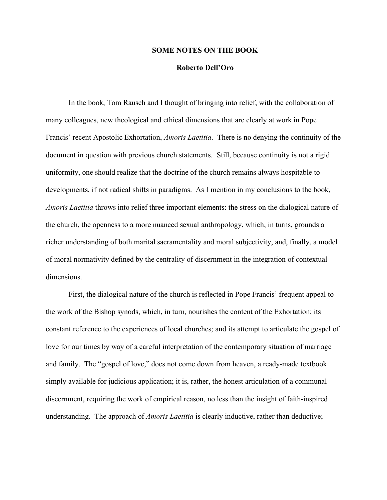## **SOME NOTES ON THE BOOK**

## **Roberto Dell'Oro**

In the book, Tom Rausch and I thought of bringing into relief, with the collaboration of many colleagues, new theological and ethical dimensions that are clearly at work in Pope Francis' recent Apostolic Exhortation, *Amoris Laetitia*. There is no denying the continuity of the document in question with previous church statements. Still, because continuity is not a rigid uniformity, one should realize that the doctrine of the church remains always hospitable to developments, if not radical shifts in paradigms. As I mention in my conclusions to the book, *Amoris Laetitia* throws into relief three important elements: the stress on the dialogical nature of the church, the openness to a more nuanced sexual anthropology, which, in turns, grounds a richer understanding of both marital sacramentality and moral subjectivity, and, finally, a model of moral normativity defined by the centrality of discernment in the integration of contextual dimensions.

First, the dialogical nature of the church is reflected in Pope Francis' frequent appeal to the work of the Bishop synods, which, in turn, nourishes the content of the Exhortation; its constant reference to the experiences of local churches; and its attempt to articulate the gospel of love for our times by way of a careful interpretation of the contemporary situation of marriage and family. The "gospel of love," does not come down from heaven, a ready-made textbook simply available for judicious application; it is, rather, the honest articulation of a communal discernment, requiring the work of empirical reason, no less than the insight of faith-inspired understanding. The approach of *Amoris Laetitia* is clearly inductive, rather than deductive;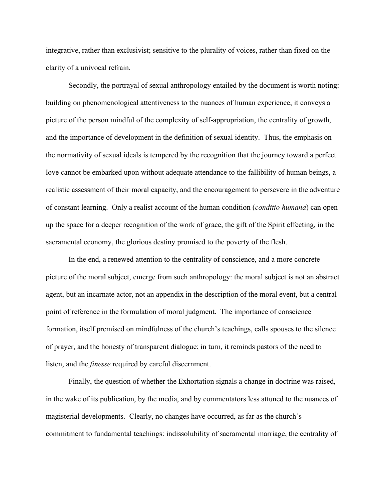integrative, rather than exclusivist; sensitive to the plurality of voices, rather than fixed on the clarity of a univocal refrain.

Secondly, the portrayal of sexual anthropology entailed by the document is worth noting: building on phenomenological attentiveness to the nuances of human experience, it conveys a picture of the person mindful of the complexity of self-appropriation, the centrality of growth, and the importance of development in the definition of sexual identity. Thus, the emphasis on the normativity of sexual ideals is tempered by the recognition that the journey toward a perfect love cannot be embarked upon without adequate attendance to the fallibility of human beings, a realistic assessment of their moral capacity, and the encouragement to persevere in the adventure of constant learning. Only a realist account of the human condition (*conditio humana*) can open up the space for a deeper recognition of the work of grace, the gift of the Spirit effecting, in the sacramental economy, the glorious destiny promised to the poverty of the flesh.

In the end, a renewed attention to the centrality of conscience, and a more concrete picture of the moral subject, emerge from such anthropology: the moral subject is not an abstract agent, but an incarnate actor, not an appendix in the description of the moral event, but a central point of reference in the formulation of moral judgment. The importance of conscience formation, itself premised on mindfulness of the church's teachings, calls spouses to the silence of prayer, and the honesty of transparent dialogue; in turn, it reminds pastors of the need to listen, and the *finesse* required by careful discernment.

Finally, the question of whether the Exhortation signals a change in doctrine was raised, in the wake of its publication, by the media, and by commentators less attuned to the nuances of magisterial developments. Clearly, no changes have occurred, as far as the church's commitment to fundamental teachings: indissolubility of sacramental marriage, the centrality of